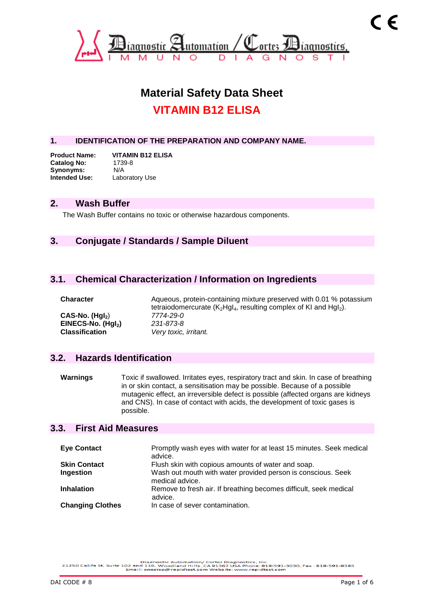

# **Material Safety Data Sheet VITAMIN B12 ELISA**

#### **1. IDENTIFICATION OF THE PREPARATION AND COMPANY NAME.**

**Product Name: VITAMIN B12 ELISA Catalog No:** 1739<br>Synonyms: N/A Synonyms: **Intended Use:** Laboratory Use

#### **2. Wash Buffer**

The Wash Buffer contains no toxic or otherwise hazardous components.

## **3. Conjugate / Standards / Sample Diluent**

#### **3.1. Chemical Characterization / Information on Ingredients**

**CAS-No. (HgI2**) *7774-29-0* **EINECS-No. (Hgl<sub>2</sub>)**<br>**Classification** 

**Character** Aqueous, protein-containing mixture preserved with 0.01 % potassium tetraiodomercurate ( $K_2Hgl_4$ , resulting complex of KI and  $Hgl_2$ ).<br>7774-29-0 Very toxic, irritant.

#### **3.2. Hazards Identification**

**Warnings** Toxic if swallowed. Irritates eyes, respiratory tract and skin. In case of breathing in or skin contact, a sensitisation may be possible. Because of a possible mutagenic effect, an irreversible defect is possible (affected organs are kidneys and CNS). In case of contact with acids, the development of toxic gases is possible.

#### **3.3. First Aid Measures**

| <b>Eye Contact</b>      | Promptly wash eyes with water for at least 15 minutes. Seek medical<br>advice.  |
|-------------------------|---------------------------------------------------------------------------------|
| <b>Skin Contact</b>     | Flush skin with copious amounts of water and soap.                              |
| Ingestion               | Wash out mouth with water provided person is conscious. Seek<br>medical advice. |
| <b>Inhalation</b>       | Remove to fresh air. If breathing becomes difficult, seek medical<br>advice.    |
| <b>Changing Clothes</b> | In case of sever contamination.                                                 |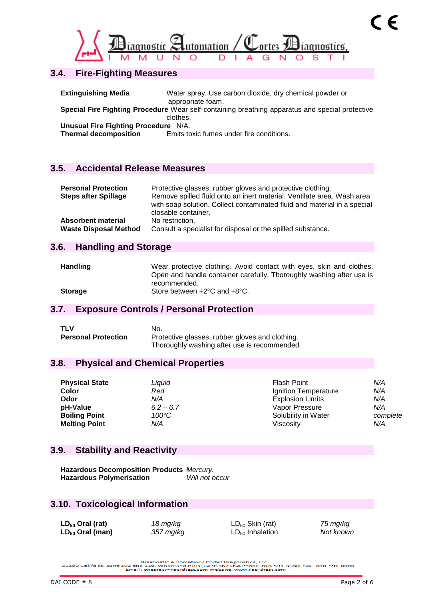

## **3.4. Fire-Fighting Measures**

| <b>Extinguishing Media</b>                                           | Water spray. Use carbon dioxide, dry chemical powder or<br>appropriate foam.                                |
|----------------------------------------------------------------------|-------------------------------------------------------------------------------------------------------------|
|                                                                      | Special Fire Fighting Procedure Wear self-containing breathing apparatus and special protective<br>clothes. |
| Unusual Fire Fighting Procedure N/A.<br><b>Thermal decomposition</b> | Emits toxic fumes under fire conditions.                                                                    |

## **3.5. Accidental Release Measures**

| <b>Personal Protection</b><br><b>Steps after Spillage</b> | Protective glasses, rubber gloves and protective clothing.<br>Remove spilled fluid onto an inert material. Ventilate area. Wash area<br>with soap solution. Collect contaminated fluid and material in a special<br>closable container. |
|-----------------------------------------------------------|-----------------------------------------------------------------------------------------------------------------------------------------------------------------------------------------------------------------------------------------|
| Absorbent material                                        | No restriction.                                                                                                                                                                                                                         |
| <b>Waste Disposal Method</b>                              | Consult a specialist for disposal or the spilled substance.                                                                                                                                                                             |

#### **3.6. Handling and Storage**

| <b>Handling</b> | Wear protective clothing. Avoid contact with eyes, skin and clothes. |
|-----------------|----------------------------------------------------------------------|
|                 | Open and handle container carefully. Thoroughly washing after use is |
|                 | recommended.                                                         |
| <b>Storage</b>  | Store between $+2^{\circ}$ C and $+8^{\circ}$ C.                     |

## **3.7. Exposure Controls / Personal Protection**

| <b>TLV</b>                 | No.                                             |
|----------------------------|-------------------------------------------------|
| <b>Personal Protection</b> | Protective glasses, rubber gloves and clothing. |
|                            | Thoroughly washing after use is recommended.    |

## **3.8. Physical and Chemical Properties**

| <b>Physical State</b> | Liquid          | Flash Point             | N/A      |
|-----------------------|-----------------|-------------------------|----------|
| Color                 | Red             | Ignition Temperature    | N/A      |
| Odor                  | N/A             | <b>Explosion Limits</b> | N/A      |
| pH-Value              | $6.2 - 6.7$     | Vapor Pressure          | N/A      |
| <b>Boiling Point</b>  | $100^{\circ}$ C | Solubility in Water     | complete |
| <b>Melting Point</b>  | N/A             | Viscositv               | N/A      |

## **3.9. Stability and Reactivity**

**Hazardous Decomposition Products** *Mercury.* **Hazardous Polymerisation** *Will not occur*

## **3.10. Toxicological Information**

| $LD_{50}$ Oral (rat)        | 18 mg/kg  | $LD_{50}$ Skin (rat) | 75 mg/kg  |
|-----------------------------|-----------|----------------------|-----------|
| LD <sub>50</sub> Oral (man) | 357 mg/kg | $LD_{50}$ Inhalation | Not known |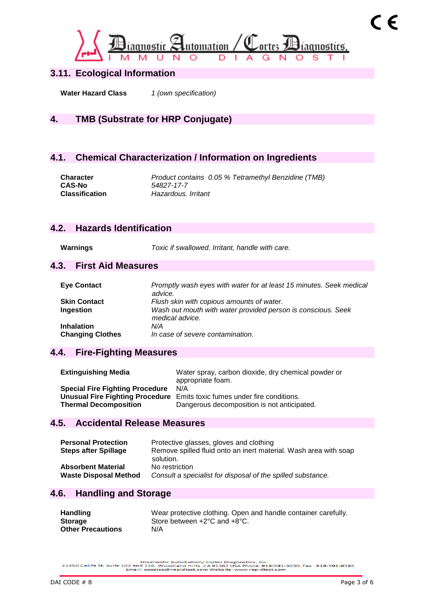

## **3.11. Ecological Information**

**Water Hazard Class** *1 (own specification)*

## **4. TMB (Substrate for HRP Conjugate)**

## **4.1. Chemical Characterization / Information on Ingredients**

**Character** *Product contains 0.05 % Tetramethyl Benzidine (TMB)* **CAS-No** *54827-17-7* **Classification** *Hazardous. Irritant*

## **4.2. Hazards Identification**

**Warnings** *Toxic if swallowed. Irritant, handle with care.*

#### **4.3. First Aid Measures**

| <b>Eye Contact</b>      | Promptly wash eyes with water for at least 15 minutes. Seek medical<br>advice.  |
|-------------------------|---------------------------------------------------------------------------------|
| <b>Skin Contact</b>     | Flush skin with copious amounts of water.                                       |
| Ingestion               | Wash out mouth with water provided person is conscious. Seek<br>medical advice. |
| <b>Inhalation</b>       | N/A                                                                             |
| <b>Changing Clothes</b> | In case of severe contamination.                                                |

## **4.4. Fire-Fighting Measures**

| <b>Extinguishing Media</b>             | Water spray, carbon dioxide, dry chemical powder or<br>appropriate foam. |
|----------------------------------------|--------------------------------------------------------------------------|
| <b>Special Fire Fighting Procedure</b> | N/A                                                                      |
|                                        | Unusual Fire Fighting Procedure Emits toxic fumes under fire conditions. |
| <b>Thermal Decomposition</b>           | Dangerous decomposition is not anticipated.                              |

## **4.5. Accidental Release Measures**

| <b>Personal Protection</b><br><b>Steps after Spillage</b> | Protective glasses, gloves and clothing<br>Remove spilled fluid onto an inert material. Wash area with soap<br>solution. |
|-----------------------------------------------------------|--------------------------------------------------------------------------------------------------------------------------|
| <b>Absorbent Material</b>                                 | No restriction                                                                                                           |
| <b>Waste Disposal Method</b>                              | Consult a specialist for disposal of the spilled substance.                                                              |

#### **4.6. Handling and Storage**

| <b>Handling</b>          | Wear protective clothing. Open and handle container carefully. |
|--------------------------|----------------------------------------------------------------|
| <b>Storage</b>           | Store between $+2^{\circ}$ C and $+8^{\circ}$ C.               |
| <b>Other Precautions</b> | N/A                                                            |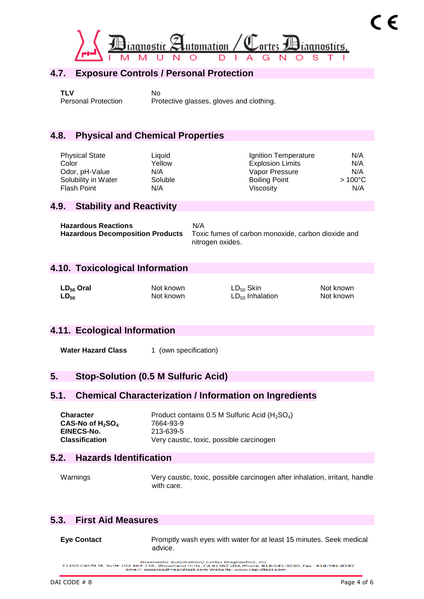

## **4.7. Exposure Controls / Personal Protection**

**TLV** No

Personal Protection Protective glasses, gloves and clothing.

## **4.8. Physical and Chemical Properties**

| Liquid  | Ignition Temperature    | N/A              |
|---------|-------------------------|------------------|
| Yellow  | <b>Explosion Limits</b> | N/A              |
| N/A     | Vapor Pressure          | N/A              |
| Soluble | <b>Boiling Point</b>    | $>100^{\circ}$ C |
| N/A     | Viscosity               | N/A              |
|         |                         |                  |

#### **4.9. Stability and Reactivity**

| <b>Hazardous Reactions</b>              | N/A                                                |
|-----------------------------------------|----------------------------------------------------|
| <b>Hazardous Decomposition Products</b> | Toxic fumes of carbon monoxide, carbon dioxide and |
|                                         | nitrogen oxides.                                   |

## **4.10. Toxicological Information**

| $LD_{50}$ Oral | Not known | $LD_{50}$ Skin       | Not known |
|----------------|-----------|----------------------|-----------|
| $LD_{50}$      | Not known | $LD_{50}$ Inhalation | Not known |

## **4.11. Ecological Information**

**Water Hazard Class** 1 (own specification)

## **5. Stop-Solution (0.5 M Sulfuric Acid)**

## **5.1. Chemical Characterization / Information on Ingredients**

| <b>Character</b>      | Product contains 0.5 M Sulfuric Acid (H <sub>2</sub> SO <sub>4</sub> ) |  |
|-----------------------|------------------------------------------------------------------------|--|
| $CAS-NO$ of $H_2SO_4$ | 7664-93-9                                                              |  |
| EINECS-No.            | 213-639-5                                                              |  |
| <b>Classification</b> | Very caustic, toxic, possible carcinogen                               |  |

## **5.2. Hazards Identification**

Warnings Very caustic, toxic, possible carcinogen after inhalation, irritant, handle with care.

## **5.3. First Aid Measures**

**Eye Contact** Promptly wash eyes with water for at least 15 minutes. Seek medical advice.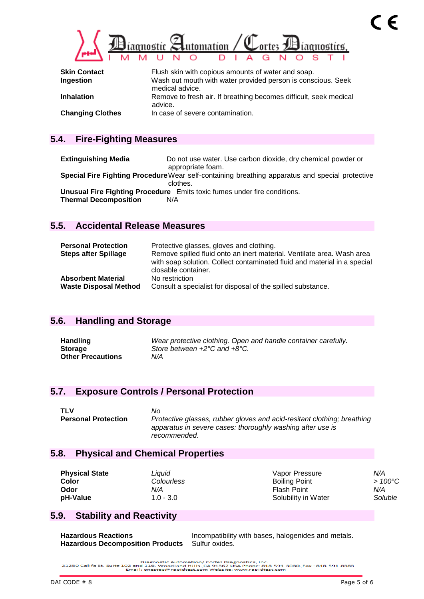

| <b>Skin Contact</b>     | Flush skin with copious amounts of water and soap.                              |
|-------------------------|---------------------------------------------------------------------------------|
| Ingestion               | Wash out mouth with water provided person is conscious. Seek<br>medical advice. |
| <b>Inhalation</b>       | Remove to fresh air. If breathing becomes difficult, seek medical<br>advice.    |
| <b>Changing Clothes</b> | In case of severe contamination.                                                |

## **5.4. Fire-Fighting Measures**

**Extinguishing Media** Do not use water. Use carbon dioxide, dry chemical powder or appropriate foam. **Special Fire Fighting Procedure**Wear self-containing breathing apparatus and special protective clothes. **Unusual Fire Fighting Procedure** Emits toxic fumes under fire conditions. **Thermal Decomposition** N/A

## **5.5. Accidental Release Measures**

| <b>Personal Protection</b><br><b>Steps after Spillage</b> | Protective glasses, gloves and clothing.<br>Remove spilled fluid onto an inert material. Ventilate area. Wash area<br>with soap solution. Collect contaminated fluid and material in a special |
|-----------------------------------------------------------|------------------------------------------------------------------------------------------------------------------------------------------------------------------------------------------------|
| <b>Absorbent Material</b><br><b>Waste Disposal Method</b> | closable container.<br>No restriction<br>Consult a specialist for disposal of the spilled substance.                                                                                           |

## **5.6. Handling and Storage**

| <b>Handling</b>          | Wear protective clothing. Open and handle container carefully. |
|--------------------------|----------------------------------------------------------------|
| Storage                  | Store between $+2^{\circ}$ C and $+8^{\circ}$ C.               |
| <b>Other Precautions</b> | N/A                                                            |

## **5.7. Exposure Controls / Personal Protection**

| <b>TLV</b>                 | No.                                                                     |
|----------------------------|-------------------------------------------------------------------------|
| <b>Personal Protection</b> | Protective glasses, rubber gloves and acid-resitant clothing; breathing |
|                            | apparatus in severe cases: thoroughly washing after use is              |
|                            | recommended.                                                            |

## **5.8. Physical and Chemical Properties**

| <b>Physical State</b> | Liauid      | Vapor Pressure       | N/A              |
|-----------------------|-------------|----------------------|------------------|
| Color                 | Colourless  | <b>Boiling Point</b> | $>100^{\circ}$ C |
| Odor                  | N/A         | Flash Point          | N/A              |
| pH-Value              | $1.0 - 3.0$ | Solubility in Water  | Soluble          |

## **5.9. Stability and Reactivity**

| <b>Hazardous Reactions</b>                             | Incompatibility with bases, halogenides and metals. |
|--------------------------------------------------------|-----------------------------------------------------|
| <b>Hazardous Decomposition Products</b> Sulfur oxides. |                                                     |